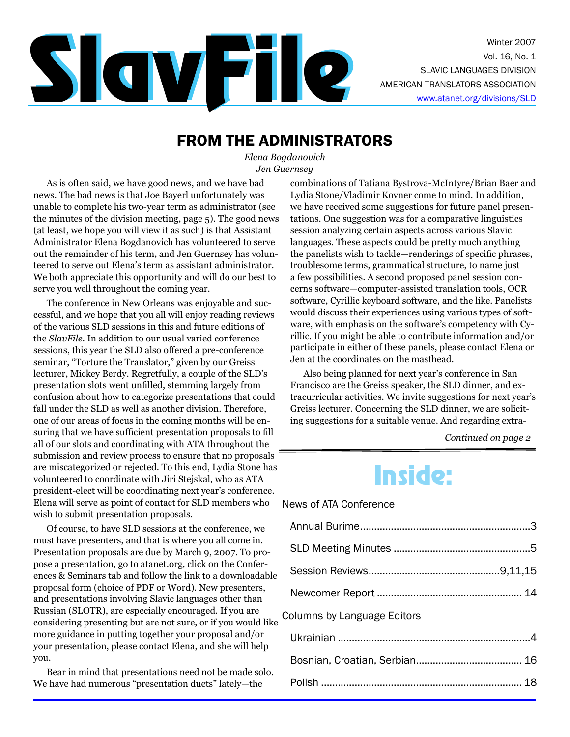

### FROM THE ADMINISTRATORS

*Elena Bogdanovich Jen Guernsey*

As is often said, we have good news, and we have bad news. The bad news is that Joe Bayerl unfortunately was unable to complete his two-year term as administrator (see the minutes of the division meeting, page 5). The good news (at least, we hope you will view it as such) is that Assistant Administrator Elena Bogdanovich has volunteered to serve out the remainder of his term, and Jen Guernsey has volunteered to serve out Elena's term as assistant administrator. We both appreciate this opportunity and will do our best to serve you well throughout the coming year.

The conference in New Orleans was enjoyable and successful, and we hope that you all will enjoy reading reviews of the various SLD sessions in this and future editions of the *SlavFile.* In addition to our usual varied conference sessions, this year the SLD also offered a pre-conference seminar, "Torture the Translator," given by our Greiss lecturer, Mickey Berdy. Regretfully, a couple of the SLD's presentation slots went unfilled, stemming largely from confusion about how to categorize presentations that could fall under the SLD as well as another division. Therefore, one of our areas of focus in the coming months will be ensuring that we have sufficient presentation proposals to fill all of our slots and coordinating with ATA throughout the submission and review process to ensure that no proposals are miscategorized or rejected. To this end, Lydia Stone has volunteered to coordinate with Jiri Stejskal, who as ATA president-elect will be coordinating next year's conference. Elena will serve as point of contact for SLD members who wish to submit presentation proposals.

Of course, to have SLD sessions at the conference, we must have presenters, and that is where you all come in. Presentation proposals are due by March 9, 2007. To propose a presentation, go to atanet.org, click on the Conferences & Seminars tab and follow the link to a downloadable proposal form (choice of PDF or Word). New presenters, and presentations involving Slavic languages other than Russian (SLOTR), are especially encouraged. If you are considering presenting but are not sure, or if you would like more guidance in putting together your proposal and/or your presentation, please contact Elena, and she will help you.

Bear in mind that presentations need not be made solo. We have had numerous "presentation duets" lately—the

combinations of Tatiana Bystrova-McIntyre/Brian Baer and Lydia Stone/Vladimir Kovner come to mind. In addition, we have received some suggestions for future panel presentations. One suggestion was for a comparative linguistics session analyzing certain aspects across various Slavic languages. These aspects could be pretty much anything the panelists wish to tackle—renderings of specific phrases, troublesome terms, grammatical structure, to name just a few possibilities. A second proposed panel session concerns software—computer-assisted translation tools, OCR software, Cyrillic keyboard software, and the like. Panelists would discuss their experiences using various types of software, with emphasis on the software's competency with Cyrillic. If you might be able to contribute information and/or participate in either of these panels, please contact Elena or Jen at the coordinates on the masthead.

Also being planned for next year's conference in San Francisco are the Greiss speaker, the SLD dinner, and extracurricular activities. We invite suggestions for next year's Greiss lecturer. Concerning the SLD dinner, we are soliciting suggestions for a suitable venue. And regarding extra-

*Continued on page 2*

## Inside:

News of ATA Conference

| Columns by Language Editors |  |
|-----------------------------|--|
|                             |  |
|                             |  |
|                             |  |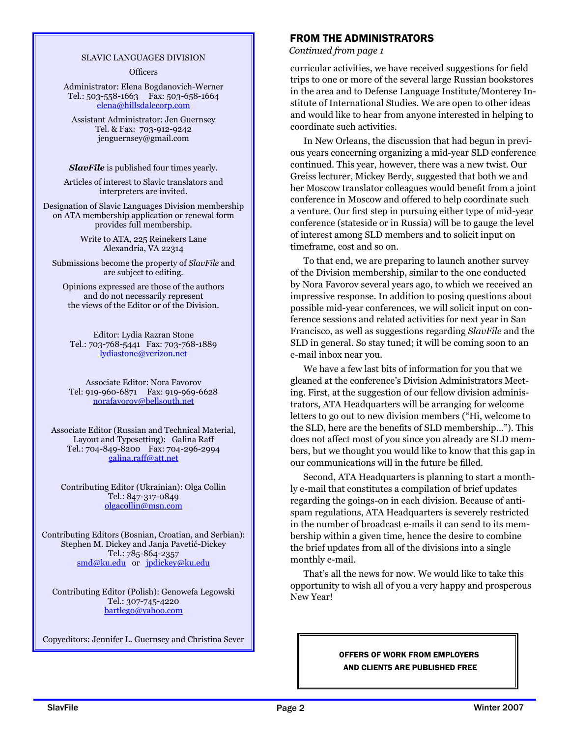#### SLAVIC LANGUAGES DIVISION

**Officers** 

Administrator: Elena Bogdanovich-Werner Tel.: 503-558-1663 Fax: 503-658-1664 elena@hillsdalecorp.com

Assistant Administrator: Jen Guernsey Tel. & Fax: 703-912-9242 jenguernsey@gmail.com

*SlavFile* is published four times yearly.

Articles of interest to Slavic translators and interpreters are invited.

Designation of Slavic Languages Division membership on ATA membership application or renewal form provides full membership.

> Write to ATA, 225 Reinekers Lane Alexandria, VA 22314

Submissions become the property of *SlavFile* and are subject to editing.

Opinions expressed are those of the authors and do not necessarily represent the views of the Editor or of the Division.

Editor: Lydia Razran Stone Tel.: 703-768-5441 Fax: 703-768-1889 lydiastone@verizon.net

Associate Editor: Nora Favorov Tel: 919-960-6871 Fax: 919-969-6628 norafavorov@bellsouth.net

Associate Editor (Russian and Technical Material, Layout and Typesetting): Galina Raff Tel.: 704-849-8200 Fax: 704-296-2994 galina.raff@att.net

Contributing Editor (Ukrainian): Olga Collin Tel.: 847-317-0849 olgacollin@msn.com

Contributing Editors (Bosnian, Croatian, and Serbian): Stephen M. Dickey and Janja Pavetić-Dickey Tel.: 785-864-2357 smd@ku.edu or jpdickey@ku.edu

Contributing Editor (Polish): Genowefa Legowski Tel.: 307-745-4220 bartlego@yahoo.com

Copyeditors: Jennifer L. Guernsey and Christina Sever

### FROM THE ADMINISTRATORS

*Continued from page 1*

curricular activities, we have received suggestions for field trips to one or more of the several large Russian bookstores in the area and to Defense Language Institute/Monterey Institute of International Studies. We are open to other ideas and would like to hear from anyone interested in helping to coordinate such activities.

In New Orleans, the discussion that had begun in previous years concerning organizing a mid-year SLD conference continued. This year, however, there was a new twist. Our Greiss lecturer, Mickey Berdy, suggested that both we and her Moscow translator colleagues would benefit from a joint conference in Moscow and offered to help coordinate such a venture. Our first step in pursuing either type of mid-year conference (stateside or in Russia) will be to gauge the level of interest among SLD members and to solicit input on timeframe, cost and so on.

To that end, we are preparing to launch another survey of the Division membership, similar to the one conducted by Nora Favorov several years ago, to which we received an impressive response. In addition to posing questions about possible mid-year conferences, we will solicit input on conference sessions and related activities for next year in San Francisco, as well as suggestions regarding *SlavFile* and the SLD in general. So stay tuned; it will be coming soon to an e-mail inbox near you.

We have a few last bits of information for you that we gleaned at the conference's Division Administrators Meeting. First, at the suggestion of our fellow division administrators, ATA Headquarters will be arranging for welcome letters to go out to new division members ("Hi, welcome to the SLD, here are the benefits of SLD membership…"). This does not affect most of you since you already are SLD members, but we thought you would like to know that this gap in our communications will in the future be filled.

Second, ATA Headquarters is planning to start a monthly e-mail that constitutes a compilation of brief updates regarding the goings-on in each division. Because of antispam regulations, ATA Headquarters is severely restricted in the number of broadcast e-mails it can send to its membership within a given time, hence the desire to combine the brief updates from all of the divisions into a single monthly e-mail.

That's all the news for now. We would like to take this opportunity to wish all of you a very happy and prosperous New Year!

### OFFERS OF WORK FROM EMPLOYERS AND CLIENTS ARE PUBLISHED FREE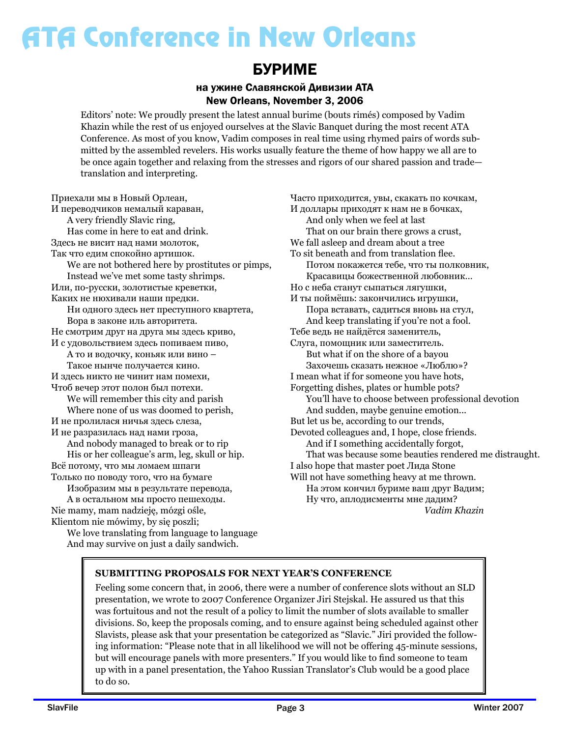### БУРИМЕ

### на ужине Славянской Дивизии АТА New Orleans, November 3, 2006

Editors' note: We proudly present the latest annual burime (bouts rimés) composed by Vadim Khazin while the rest of us enjoyed ourselves at the Slavic Banquet during the most recent ATA Conference. As most of you know, Vadim composes in real time using rhymed pairs of words submitted by the assembled revelers. His works usually feature the theme of how happy we all are to be once again together and relaxing from the stresses and rigors of our shared passion and trade translation and interpreting.

Приехали мы в Новый Орлеан, И переводчиков немалый караван, A very friendly Slavic ring, Has come in here to eat and drink. Здесь не висит над нами молоток, Так что едим спокойно артишок. We are not bothered here by prostitutes or pimps, Instead we've met some tasty shrimps. Или, по-русски, золотистые креветки, Каких не нюхивали наши предки. Ни одного здесь нет преступного квартета, Вора в законе иль авторитета. Не смотрим друг на друга мы здесь криво, И с удовольствием здесь попиваем пиво, А то и водочку, коньяк или вино – Такое нынче получается кино. И здесь никто не чинит нам помехи, Чтоб вечер этот полон был потехи. We will remember this city and parish Where none of us was doomed to perish, И не пролилася ничья здесь слеза, И не разразилась над нами гроза, And nobody managed to break or to rip His or her colleague's arm, leg, skull or hip. Всё потому, что мы ломаем шпаги Только по поводу того, что на бумаге Изобразим мы в результате перевода, А в остальном мы просто пешеходы. Nie mamy, mam nadzieję, mózgi ośle, Klientom nie mówimy, by się poszli;

We love translating from language to language And may survive on just a daily sandwich.

Часто приходится, увы, скакать по кочкам, И доллары приходят к нам не в бочках, And only when we feel at last That on our brain there grows a crust, We fall asleep and dream about a tree To sit beneath and from translation flee. Потом покажется тебе, что ты полковник, Красавицы божественной любовник… Но с неба станут сыпаться лягушки, И ты поймёшь: закончились игрушки, Пора вставать, садиться вновь на стул, And keep translating if you're not a fool. Тебе ведь не найдётся заменитель, Слуга, помощник или заместитель. But what if on the shore of a bayou Захочешь сказать нежное «Люблю»? I mean what if for someone you have hots, Forgetting dishes, plates or humble pots? You'll have to choose between professional devotion And sudden, maybe genuine emotion... But let us be, according to our trends, Devoted colleagues and, I hope, close friends. And if I something accidentally forgot, That was because some beauties rendered me distraught. I also hope that master poet Лида Stone Will not have something heavy at me thrown. На этом кончил буриме ваш друг Вадим; Ну что, аплодисменты мне дадим? *Vadim Khazin*

### **SUBMITTING PROPOSALS FOR NEXT YEAR'S CONFERENCE**

Feeling some concern that, in 2006, there were a number of conference slots without an SLD presentation, we wrote to 2007 Conference Organizer Jiri Stejskal. He assured us that this was fortuitous and not the result of a policy to limit the number of slots available to smaller divisions. So, keep the proposals coming, and to ensure against being scheduled against other Slavists, please ask that your presentation be categorized as "Slavic." Jiri provided the following information: "Please note that in all likelihood we will not be offering 45-minute sessions, but will encourage panels with more presenters." If you would like to find someone to team up with in a panel presentation, the Yahoo Russian Translator's Club would be a good place to do so.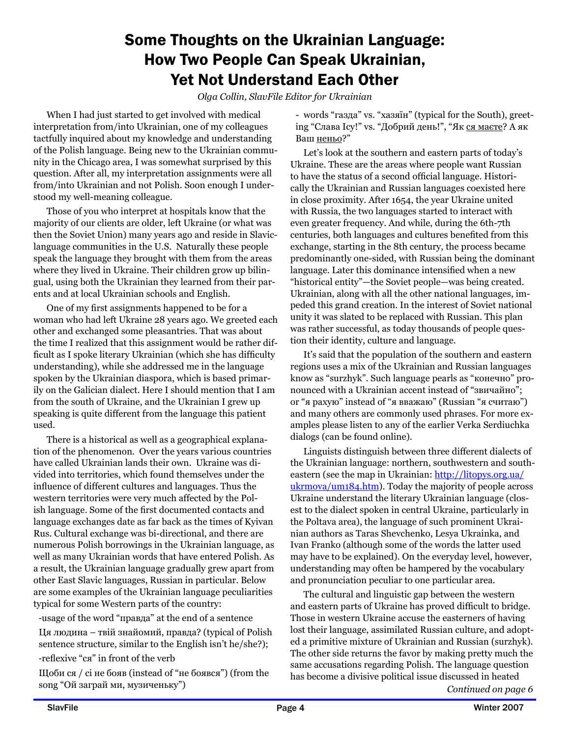### Some Thoughts on the Ukrainian Language: How Two People Can Speak Ukrainian, Yet Not Understand Each Other

*Olga Collin, SlavFile Editor for Ukrainian*

When I had just started to get involved with medical interpretation from/into Ukrainian, one of my colleagues tactfully inquired about my knowledge and understanding of the Polish language. Being new to the Ukrainian community in the Chicago area, I was somewhat surprised by this question. After all, my interpretation assignments were all from/into Ukrainian and not Polish. Soon enough I understood my well-meaning colleague.

Those of you who interpret at hospitals know that the majority of our clients are older, left Ukraine (or what was then the Soviet Union) many years ago and reside in Slaviclanguage communities in the U.S. Naturally these people speak the language they brought with them from the areas where they lived in Ukraine. Their children grow up bilingual, using both the Ukrainian they learned from their parents and at local Ukrainian schools and English.

One of my first assignments happened to be for a woman who had left Ukraine 28 years ago. We greeted each other and exchanged some pleasantries. That was about the time I realized that this assignment would be rather difficult as I spoke literary Ukrainian (which she has difficulty understanding), while she addressed me in the language spoken by the Ukrainian diaspora, which is based primarily on the Galician dialect. Here I should mention that I am from the south of Ukraine, and the Ukrainian I grew up speaking is quite different from the language this patient used.

There is a historical as well as a geographical explanation of the phenomenon. Over the years various countries have called Ukrainian lands their own. Ukraine was divided into territories, which found themselves under the influence of different cultures and languages. Thus the western territories were very much affected by the Polish language. Some of the first documented contacts and language exchanges date as far back as the times of Kyivan Rus. Cultural exchange was bi-directional, and there are numerous Polish borrowings in the Ukrainian language, as well as many Ukrainian words that have entered Polish. As a result, the Ukrainian language gradually grew apart from other East Slavic languages, Russian in particular. Below are some examples of the Ukrainian language peculiarities typical for some Western parts of the country:

-usage of the word "правда" at the end of a sentence

Ця людина – твій знайомий, правда? (typical of Polish sentence structure, similar to the English isn't he/she?); -reflexive "ся" in front of the verb

Щоби ся / сі не бояв (instead of "не боявся") (from the song "Ой заграй ми, музиченьку")

- words "газда" vs. "хазяїн" (typical for the South), greeting "Слава Ісу!" vs. "Добрий день!", "Як ся маєте? А як Ваш неньо?"

Let's look at the southern and eastern parts of today's Ukraine. These are the areas where people want Russian to have the status of a second official language. Historically the Ukrainian and Russian languages coexisted here in close proximity. After 1654, the year Ukraine united with Russia, the two languages started to interact with even greater frequency. And while, during the 6th-7th centuries, both languages and cultures benefited from this exchange, starting in the 8th century, the process became predominantly one-sided, with Russian being the dominant language. Later this dominance intensified when a new "historical entity"—the Soviet people—was being created. Ukrainian, along with all the other national languages, impeded this grand creation. In the interest of Soviet national unity it was slated to be replaced with Russian. This plan was rather successful, as today thousands of people question their identity, culture and language.

It's said that the population of the southern and eastern regions uses a mix of the Ukrainian and Russian languages know as "surzhyk". Such language pearls as "конечно" pronounced with a Ukrainian accent instead of "звичайно"; or "я рахую" instead of "я вважаю" (Russian "я считаю") and many others are commonly used phrases. For more examples please listen to any of the earlier Verka Serdiuchka dialogs (can be found online).

Linguists distinguish between three different dialects of the Ukrainian language: northern, southwestern and southeastern (see the map in Ukrainian: http://litopys.org.ua/ ukrmova/um184.htm). Today the majority of people across Ukraine understand the literary Ukrainian language (closest to the dialect spoken in central Ukraine, particularly in the Poltava area), the language of such prominent Ukrainian authors as Taras Shevchenko, Lesya Ukrainka, and Ivan Franko (although some of the words the latter used may have to be explained). On the everyday level, however, understanding may often be hampered by the vocabulary and pronunciation peculiar to one particular area.

The cultural and linguistic gap between the western and eastern parts of Ukraine has proved difficult to bridge. Those in western Ukraine accuse the easterners of having lost their language, assimilated Russian culture, and adopted a primitive mixture of Ukrainian and Russian (surzhyk). The other side returns the favor by making pretty much the same accusations regarding Polish. The language question has become a divisive political issue discussed in heated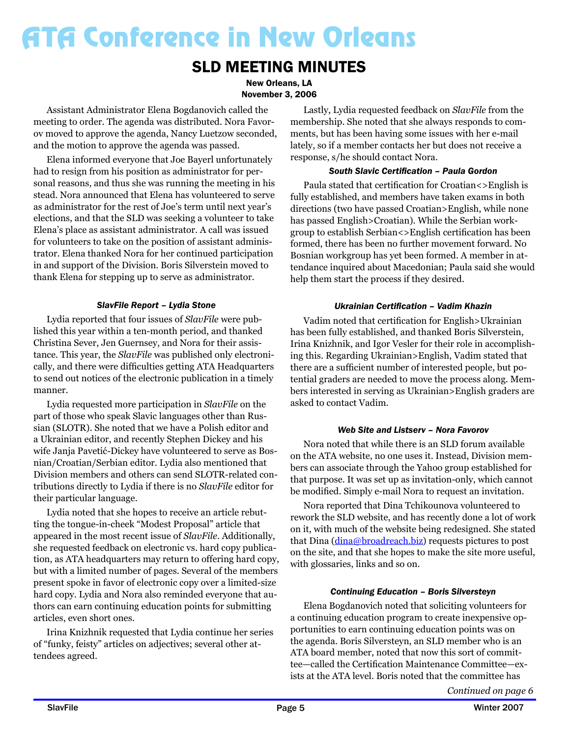### SLD MEETING MINUTES

New Orleans, LA November 3, 2006

Assistant Administrator Elena Bogdanovich called the meeting to order. The agenda was distributed. Nora Favorov moved to approve the agenda, Nancy Luetzow seconded, and the motion to approve the agenda was passed.

Elena informed everyone that Joe Bayerl unfortunately had to resign from his position as administrator for personal reasons, and thus she was running the meeting in his stead. Nora announced that Elena has volunteered to serve as administrator for the rest of Joe's term until next year's elections, and that the SLD was seeking a volunteer to take Elena's place as assistant administrator. A call was issued for volunteers to take on the position of assistant administrator. Elena thanked Nora for her continued participation in and support of the Division. Boris Silverstein moved to thank Elena for stepping up to serve as administrator.

### *SlavFile Report – Lydia Stone*

Lydia reported that four issues of *SlavFile* were published this year within a ten-month period, and thanked Christina Sever, Jen Guernsey, and Nora for their assistance. This year, the *SlavFile* was published only electronically, and there were difficulties getting ATA Headquarters to send out notices of the electronic publication in a timely manner.

Lydia requested more participation in *SlavFile* on the part of those who speak Slavic languages other than Russian (SLOTR). She noted that we have a Polish editor and a Ukrainian editor, and recently Stephen Dickey and his wife Janja Pavetić-Dickey have volunteered to serve as Bosnian/Croatian/Serbian editor. Lydia also mentioned that Division members and others can send SLOTR-related contributions directly to Lydia if there is no *SlavFile* editor for their particular language.

Lydia noted that she hopes to receive an article rebutting the tongue-in-cheek "Modest Proposal" article that appeared in the most recent issue of *SlavFile*. Additionally, she requested feedback on electronic vs. hard copy publication, as ATA headquarters may return to offering hard copy, but with a limited number of pages. Several of the members present spoke in favor of electronic copy over a limited-size hard copy. Lydia and Nora also reminded everyone that authors can earn continuing education points for submitting articles, even short ones.

Irina Knizhnik requested that Lydia continue her series of "funky, feisty" articles on adjectives; several other attendees agreed.

Lastly, Lydia requested feedback on *SlavFile* from the membership. She noted that she always responds to comments, but has been having some issues with her e-mail lately, so if a member contacts her but does not receive a response, s/he should contact Nora.

#### *South Slavic Certification – Paula Gordon*

Paula stated that certification for Croatian<>English is fully established, and members have taken exams in both directions (two have passed Croatian>English, while none has passed English>Croatian). While the Serbian workgroup to establish Serbian<>English certification has been formed, there has been no further movement forward. No Bosnian workgroup has yet been formed. A member in attendance inquired about Macedonian; Paula said she would help them start the process if they desired.

#### *Ukrainian Certification – Vadim Khazin*

Vadim noted that certification for English>Ukrainian has been fully established, and thanked Boris Silverstein, Irina Knizhnik, and Igor Vesler for their role in accomplishing this. Regarding Ukrainian>English, Vadim stated that there are a sufficient number of interested people, but potential graders are needed to move the process along. Members interested in serving as Ukrainian>English graders are asked to contact Vadim.

### *Web Site and Listserv – Nora Favorov*

Nora noted that while there is an SLD forum available on the ATA website, no one uses it. Instead, Division members can associate through the Yahoo group established for that purpose. It was set up as invitation-only, which cannot be modified. Simply e-mail Nora to request an invitation.

Nora reported that Dina Tchikounova volunteered to rework the SLD website, and has recently done a lot of work on it, with much of the website being redesigned. She stated that Dina (dina@broadreach.biz) requests pictures to post on the site, and that she hopes to make the site more useful, with glossaries, links and so on.

### *Continuing Education – Boris Silversteyn*

Elena Bogdanovich noted that soliciting volunteers for a continuing education program to create inexpensive opportunities to earn continuing education points was on the agenda. Boris Silversteyn, an SLD member who is an ATA board member, noted that now this sort of committee—called the Certification Maintenance Committee—exists at the ATA level. Boris noted that the committee has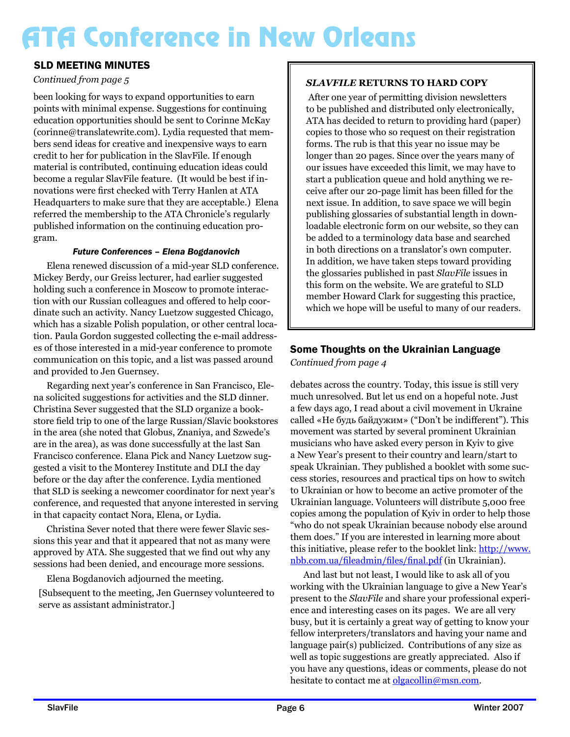### SLD MEETING MINUTES

### *Continued from page 5*

been looking for ways to expand opportunities to earn points with minimal expense. Suggestions for continuing education opportunities should be sent to Corinne McKay (corinne@translatewrite.com). Lydia requested that members send ideas for creative and inexpensive ways to earn credit to her for publication in the SlavFile. If enough material is contributed, continuing education ideas could become a regular SlavFile feature. (It would be best if innovations were first checked with Terry Hanlen at ATA Headquarters to make sure that they are acceptable.) Elena referred the membership to the ATA Chronicle's regularly published information on the continuing education program.

#### *Future Conferences – Elena Bogdanovich*

Elena renewed discussion of a mid-year SLD conference. Mickey Berdy, our Greiss lecturer, had earlier suggested holding such a conference in Moscow to promote interaction with our Russian colleagues and offered to help coordinate such an activity. Nancy Luetzow suggested Chicago, which has a sizable Polish population, or other central location. Paula Gordon suggested collecting the e-mail addresses of those interested in a mid-year conference to promote communication on this topic, and a list was passed around and provided to Jen Guernsey.

Regarding next year's conference in San Francisco, Elena solicited suggestions for activities and the SLD dinner. Christina Sever suggested that the SLD organize a bookstore field trip to one of the large Russian/Slavic bookstores in the area (she noted that Globus, Znaniya, and Szwede's are in the area), as was done successfully at the last San Francisco conference. Elana Pick and Nancy Luetzow suggested a visit to the Monterey Institute and DLI the day before or the day after the conference. Lydia mentioned that SLD is seeking a newcomer coordinator for next year's conference, and requested that anyone interested in serving in that capacity contact Nora, Elena, or Lydia.

Christina Sever noted that there were fewer Slavic sessions this year and that it appeared that not as many were approved by ATA. She suggested that we find out why any sessions had been denied, and encourage more sessions.

Elena Bogdanovich adjourned the meeting.

[Subsequent to the meeting, Jen Guernsey volunteered to serve as assistant administrator.]

### *SLAVFILE* **RETURNS TO HARD COPY**

 After one year of permitting division newsletters to be published and distributed only electronically, ATA has decided to return to providing hard (paper) copies to those who so request on their registration forms. The rub is that this year no issue may be longer than 20 pages. Since over the years many of our issues have exceeded this limit, we may have to start a publication queue and hold anything we receive after our 20-page limit has been filled for the next issue. In addition, to save space we will begin publishing glossaries of substantial length in downloadable electronic form on our website, so they can be added to a terminology data base and searched in both directions on a translator's own computer. In addition, we have taken steps toward providing the glossaries published in past *SlavFile* issues in this form on the website. We are grateful to SLD member Howard Clark for suggesting this practice, which we hope will be useful to many of our readers.

### Some Thoughts on the Ukrainian Language

*Continued from page 4*

debates across the country. Today, this issue is still very much unresolved. But let us end on a hopeful note. Just a few days ago, I read about a civil movement in Ukraine called «Не будь байдужим» ("Don't be indifferent"). This movement was started by several prominent Ukrainian musicians who have asked every person in Kyiv to give a New Year's present to their country and learn/start to speak Ukrainian. They published a booklet with some success stories, resources and practical tips on how to switch to Ukrainian or how to become an active promoter of the Ukrainian language. Volunteers will distribute 5,000 free copies among the population of Kyiv in order to help those "who do not speak Ukrainian because nobody else around them does." If you are interested in learning more about this initiative, please refer to the booklet link: http://www. nbb.com.ua/fileadmin/files/final.pdf (in Ukrainian).

And last but not least, I would like to ask all of you working with the Ukrainian language to give a New Year's present to the *SlavFile* and share your professional experience and interesting cases on its pages. We are all very busy, but it is certainly a great way of getting to know your fellow interpreters/translators and having your name and language pair(s) publicized. Contributions of any size as well as topic suggestions are greatly appreciated. Also if you have any questions, ideas or comments, please do not hesitate to contact me at olgacollin@msn.com.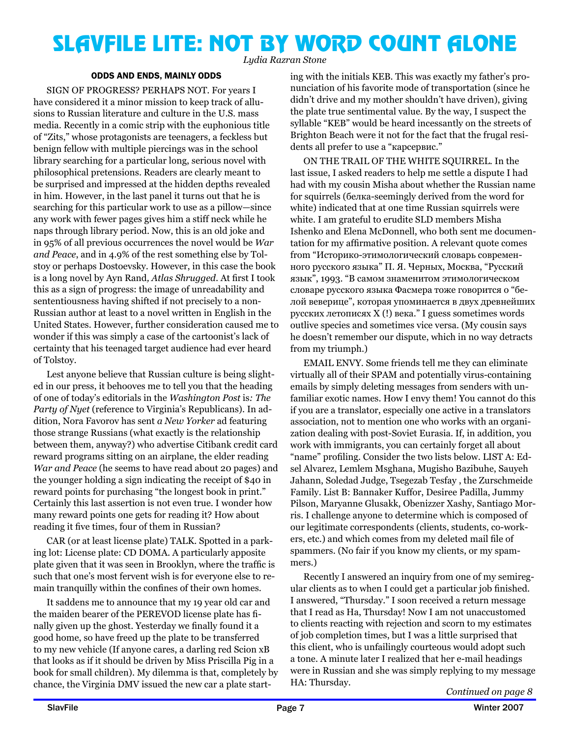### SLAVFILE LITE: NOT BY WORD COUNT ALONE

*Lydia Razran Stone*

#### ODDS AND ENDS, MAINLY ODDS

SIGN OF PROGRESS? PERHAPS NOT. For years I have considered it a minor mission to keep track of allusions to Russian literature and culture in the U.S. mass media. Recently in a comic strip with the euphonious title of "Zits," whose protagonists are teenagers, a feckless but benign fellow with multiple piercings was in the school library searching for a particular long, serious novel with philosophical pretensions. Readers are clearly meant to be surprised and impressed at the hidden depths revealed in him. However, in the last panel it turns out that he is searching for this particular work to use as a pillow—since any work with fewer pages gives him a stiff neck while he naps through library period. Now, this is an old joke and in 95% of all previous occurrences the novel would be *War and Peace*, and in 4.9% of the rest something else by Tolstoy or perhaps Dostoevsky. However, in this case the book is a long novel by Ayn Rand*, Atlas Shrugged*. At first I took this as a sign of progress: the image of unreadability and sententiousness having shifted if not precisely to a non-Russian author at least to a novel written in English in the United States. However, further consideration caused me to wonder if this was simply a case of the cartoonist's lack of certainty that his teenaged target audience had ever heard of Tolstoy.

Lest anyone believe that Russian culture is being slighted in our press, it behooves me to tell you that the heading of one of today's editorials in the *Washington Post* is*: The Party of Nyet* (reference to Virginia's Republicans). In addition, Nora Favorov has sent *a New Yorker* ad featuring those strange Russians (what exactly is the relationship between them, anyway?) who advertise Citibank credit card reward programs sitting on an airplane, the elder reading *War and Peace* (he seems to have read about 20 pages) and the younger holding a sign indicating the receipt of \$40 in reward points for purchasing "the longest book in print." Certainly this last assertion is not even true. I wonder how many reward points one gets for reading it? How about reading it five times, four of them in Russian?

CAR (or at least license plate) TALK. Spotted in a parking lot: License plate: CD DOMA. A particularly apposite plate given that it was seen in Brooklyn, where the traffic is such that one's most fervent wish is for everyone else to remain tranquilly within the confines of their own homes.

It saddens me to announce that my 19 year old car and the maiden bearer of the PEREVOD license plate has finally given up the ghost. Yesterday we finally found it a good home, so have freed up the plate to be transferred to my new vehicle (If anyone cares, a darling red Scion xB that looks as if it should be driven by Miss Priscilla Pig in a book for small children). My dilemma is that, completely by chance, the Virginia DMV issued the new car a plate starting with the initials KEB. This was exactly my father's pronunciation of his favorite mode of transportation (since he didn't drive and my mother shouldn't have driven), giving the plate true sentimental value. By the way, I suspect the syllable "KEB" would be heard incessantly on the streets of Brighton Beach were it not for the fact that the frugal residents all prefer to use a "карсервис."

ON THE TRAIL OF THE WHITE SOUIRREL. In the last issue, I asked readers to help me settle a dispute I had had with my cousin Misha about whether the Russian name for squirrels (белка-seemingly derived from the word for white) indicated that at one time Russian squirrels were white. I am grateful to erudite SLD members Misha Ishenko and Elena McDonnell, who both sent me documentation for my affirmative position. A relevant quote comes from "Историко-этимологический словарь современного русского языка" П. Я. Черных, Москва, "Русский язык", 1993. "В самом знаменитом этимологическом словаре русского языка Фасмера тоже говорится о "белой веверице", которая упоминается в двух древнейших русских летописях X (!) века." I guess sometimes words outlive species and sometimes vice versa. (My cousin says he doesn't remember our dispute, which in no way detracts from my triumph.)

EMAIL ENVY. Some friends tell me they can eliminate virtually all of their SPAM and potentially virus-containing emails by simply deleting messages from senders with unfamiliar exotic names. How I envy them! You cannot do this if you are a translator, especially one active in a translators association, not to mention one who works with an organization dealing with post-Soviet Eurasia. If, in addition, you work with immigrants, you can certainly forget all about "name" profiling. Consider the two lists below. LIST A: Edsel Alvarez, Lemlem Msghana, Mugisho Bazibuhe, Sauyeh Jahann, Soledad Judge, Tsegezab Tesfay , the Zurschmeide Family. List B: Bannaker Kuffor, Desiree Padilla, Jummy Pilson, Maryanne Glusakk, Obenizzer Xashy, Santiago Morris. I challenge anyone to determine which is composed of our legitimate correspondents (clients, students, co-workers, etc.) and which comes from my deleted mail file of spammers. (No fair if you know my clients, or my spammers.)

Recently I answered an inquiry from one of my semiregular clients as to when I could get a particular job finished. I answered, "Thursday." I soon received a return message that I read as Ha, Thursday! Now I am not unaccustomed to clients reacting with rejection and scorn to my estimates of job completion times, but I was a little surprised that this client, who is unfailingly courteous would adopt such a tone. A minute later I realized that her e-mail headings were in Russian and she was simply replying to my message HA: Thursday.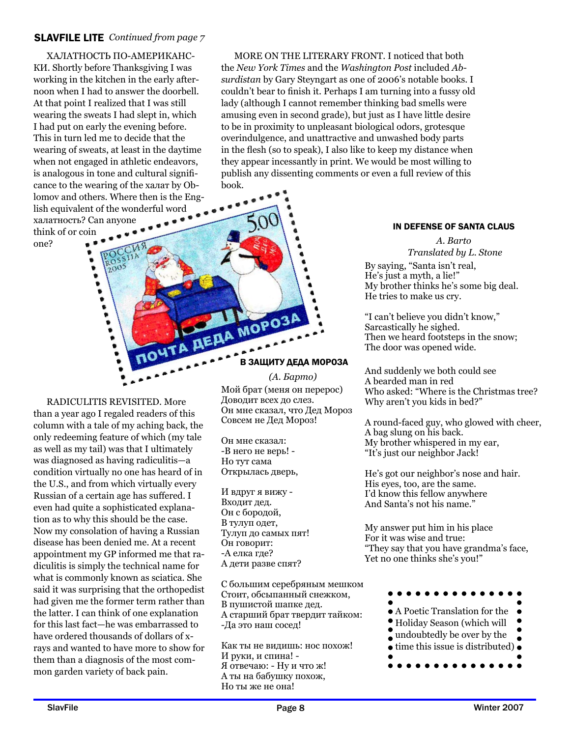### SLAVFILE LITE *Continued from page 7*

ХАЛАТНОСТЬ ПО-АМЕРИКАНС-КИ. Shortly before Thanksgiving I was working in the kitchen in the early afternoon when I had to answer the doorbell. At that point I realized that I was still wearing the sweats I had slept in, which I had put on early the evening before. This in turn led me to decide that the wearing of sweats, at least in the daytime when not engaged in athletic endeavors, is analogous in tone and cultural significance to the wearing of the халат by Oblomov and others. Where then is the English equivalent of the wonderful word халатность? Can anyone think of or coin one?

2005

MORE ON THE LITERARY FRONT. I noticed that both the *New York Times* and the *Washington Post* included *Absurdistan* by Gary Steyngart as one of 2006's notable books. I couldn't bear to finish it. Perhaps I am turning into a fussy old lady (although I cannot remember thinking bad smells were amusing even in second grade), but just as I have little desire to be in proximity to unpleasant biological odors, grotesque overindulgence, and unattractive and unwashed body parts in the flesh (so to speak), I also like to keep my distance when they appear incessantly in print. We would be most willing to publish any dissenting comments or even a full review of this book.

### IN DEFENSE OF SANTA CLAUS

*A. Barto Translated by L. Stone*

By saying, "Santa isn't real, He's just a myth, a lie!" My brother thinks he's some big deal. He tries to make us cry.

"I can't believe you didn't know," Sarcastically he sighed. Then we heard footsteps in the snow; The door was opened wide.

And suddenly we both could see A bearded man in red Who asked: "Where is the Christmas tree? Why aren't you kids in bed?"

A round-faced guy, who glowed with cheer, A bag slung on his back. My brother whispered in my ear, "It's just our neighbor Jack!

He's got our neighbor's nose and hair. His eyes, too, are the same. I'd know this fellow anywhere And Santa's not his name."

My answer put him in his place For it was wise and true: "They say that you have grandma's face, Yet no one thinks she's you!"



RADICULITIS REVISITED. More than a year ago I regaled readers of this column with a tale of my aching back, the only redeeming feature of which (my tale as well as my tail) was that I ultimately was diagnosed as having radiculitis—a condition virtually no one has heard of in the U.S., and from which virtually every Russian of a certain age has suffered. I even had quite a sophisticated explanation as to why this should be the case. Now my consolation of having a Russian disease has been denied me. At a recent appointment my GP informed me that radiculitis is simply the technical name for what is commonly known as sciatica. She said it was surprising that the orthopedist had given me the former term rather than the latter. I can think of one explanation for this last fact—he was embarrassed to have ordered thousands of dollars of xrays and wanted to have more to show for them than a diagnosis of the most com-

#### В ЗАЩИТУ ДЕДА МОРОЗА

### *(А. Барто)*

Мой брат (меня он перерос) Доводит всех до слез. Он мне сказал, что Дед Мороз Совсем не Дед Мороз!

Он мне сказал: -В него не верь! - Но тут сама Открылась дверь,

**AERA MOPO3** 

A

И вдруг я вижу - Входит дед. Он с бородой, В тулуп одет, Тулуп до самых пят! Он говорит: -А елка где? А дети разве спят?

С большим серебряным мешком Стоит, обсыпанный снежком, В пушистой шапке дед. А старший брат твердит тайком: -Да это наш сосед!

Как ты не видишь: нос похож! И руки, и спина! - Я отвечаю: - Ну и что ж! А ты на бабушку похож, Но ты же не она!

mon garden variety of back pain.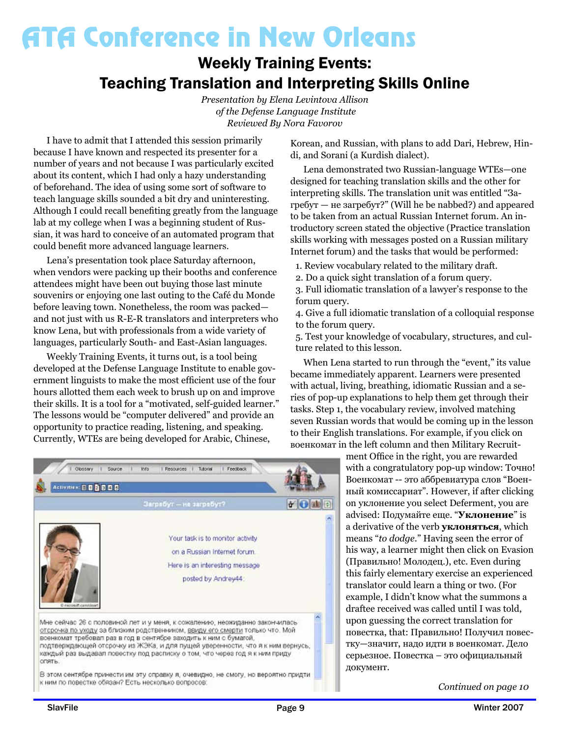### Weekly Training Events: Teaching Translation and Interpreting Skills Online

*Presentation by Elena Levintova Allison of the Defense Language Institute Reviewed By Nora Favorov* 

I have to admit that I attended this session primarily because I have known and respected its presenter for a number of years and not because I was particularly excited about its content, which I had only a hazy understanding of beforehand. The idea of using some sort of software to teach language skills sounded a bit dry and uninteresting. Although I could recall benefiting greatly from the language lab at my college when I was a beginning student of Russian, it was hard to conceive of an automated program that could benefit more advanced language learners.

Lena's presentation took place Saturday afternoon, when vendors were packing up their booths and conference attendees might have been out buying those last minute souvenirs or enjoying one last outing to the Café du Monde before leaving town. Nonetheless, the room was packed and not just with us R-E-R translators and interpreters who know Lena, but with professionals from a wide variety of languages, particularly South- and East-Asian languages.

Weekly Training Events, it turns out, is a tool being developed at the Defense Language Institute to enable government linguists to make the most efficient use of the four hours allotted them each week to brush up on and improve their skills. It is a tool for a "motivated, self-guided learner." The lessons would be "computer delivered" and provide an opportunity to practice reading, listening, and speaking. Currently, WTEs are being developed for Arabic, Chinese,



В этом сентябре принести им эту справку я, очевидно, не смогу, но вероятно придти к ним по повестке обязан? Есть несколько вопросов:

Korean, and Russian, with plans to add Dari, Hebrew, Hindi, and Sorani (a Kurdish dialect).

Lena demonstrated two Russian-language WTEs—one designed for teaching translation skills and the other for interpreting skills. The translation unit was entitled "Загребут — не загребут?" (Will he be nabbed?) and appeared to be taken from an actual Russian Internet forum. An introductory screen stated the objective (Practice translation skills working with messages posted on a Russian military Internet forum) and the tasks that would be performed:

- 1. Review vocabulary related to the military draft.
- 2. Do a quick sight translation of a forum query.

3. Full idiomatic translation of a lawyer's response to the forum query.

4. Give a full idiomatic translation of a colloquial response to the forum query.

5. Test your knowledge of vocabulary, structures, and culture related to this lesson.

When Lena started to run through the "event," its value became immediately apparent. Learners were presented with actual, living, breathing, idiomatic Russian and a series of pop-up explanations to help them get through their tasks. Step 1, the vocabulary review, involved matching seven Russian words that would be coming up in the lesson to their English translations. For example, if you click on военкомат in the left column and then Military Recruit-

> ment Office in the right, you are rewarded with a congratulatory pop-up window: Точно! Военкомат -- это аббревиатура слов "Военный комиссариат". However, if after clicking on уклонение you select Deferment, you are advised: Подумайте еще. "**Уклонение**" is a derivative of the verb **уклоняться**, which means "*to dodge*." Having seen the error of his way, a learner might then click on Evasion (Правильно! Молодец.), etc. Even during this fairly elementary exercise an experienced translator could learn a thing or two. (For example, I didn't know what the summons a draftee received was called until I was told, upon guessing the correct translation for повестка, that: Правильно! Получил повестку—значит, надо идти в военкомат. Дело серьезное. Повестка – это официальный документ.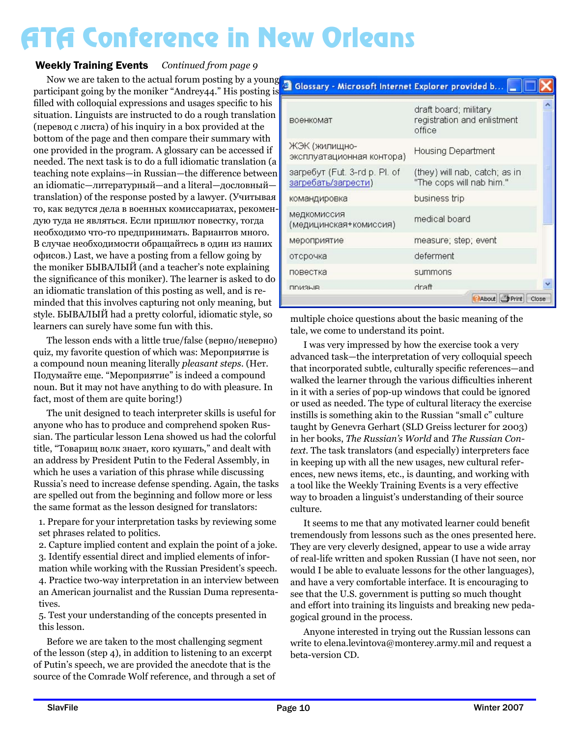### Weekly Training Events Continued from page 9

Now we are taken to the actual forum posting by a young participant going by the moniker "Andrey44." His posting is filled with colloquial expressions and usages specific to his situation. Linguists are instructed to do a rough translation (перевод с листа) of his inquiry in a box provided at the bottom of the page and then compare their summary with one provided in the program. A glossary can be accessed if needed. The next task is to do a full idiomatic translation (a teaching note explains—in Russian—the difference between an idiomatic—литературный—and a literal—дословный translation) of the response posted by a lawyer. (Учитывая то, как ведутся дела в военных комиссариатах, рекомендую туда не являться. Если пришлют повестку, тогда необходимо что-то предпринимать. Вариантов много. В случае необходимости обращайтесь в один из наших офисов.) Last, we have a posting from a fellow going by the moniker БЫВАЛЫЙ (and a teacher's note explaining the significance of this moniker). The learner is asked to do an idiomatic translation of this posting as well, and is reminded that this involves capturing not only meaning, but style. БЫВАЛЫЙ had a pretty colorful, idiomatic style, so learners can surely have some fun with this.

The lesson ends with a little true/false (верно/неверно) quiz, my favorite question of which was: Мероприятие is a compound noun meaning literally *pleasant steps*. (Нет. Подумайте еще. "Мероприятие" is indeed a compound noun. But it may not have anything to do with pleasure. In fact, most of them are quite boring!)

The unit designed to teach interpreter skills is useful for anyone who has to produce and comprehend spoken Russian. The particular lesson Lena showed us had the colorful title, "Товарищ волк знает, кого кушать," and dealt with an address by President Putin to the Federal Assembly, in which he uses a variation of this phrase while discussing Russia's need to increase defense spending. Again, the tasks are spelled out from the beginning and follow more or less the same format as the lesson designed for translators:

1. Prepare for your interpretation tasks by reviewing some set phrases related to politics.

2. Capture implied content and explain the point of a joke. 3. Identify essential direct and implied elements of information while working with the Russian President's speech. 4. Practice two-way interpretation in an interview between an American journalist and the Russian Duma representatives.

5. Test your understanding of the concepts presented in this lesson.

Before we are taken to the most challenging segment of the lesson (step 4), in addition to listening to an excerpt of Putin's speech, we are provided the anecdote that is the source of the Comrade Wolf reference, and through a set of

| военкомат                                            | draft board; military<br>registration and enlistment<br>office |
|------------------------------------------------------|----------------------------------------------------------------|
| ЖЭК (жилищно-<br>эксплуатационная контора)           | Housing Department                                             |
| загребут (Fut. 3-rd p. Pl. of<br>загребать/загрести) | (they) will nab, catch; as in<br>"The cops will nab him."      |
| командировка                                         | business trip                                                  |
| медкомиссия<br>(медицинская+комиссия)                | medical board                                                  |
| мероприятие                                          | measure; step; event                                           |
| отсрочка                                             | deferment                                                      |
| повестка                                             | summons                                                        |
| <b>DDM3LIB</b>                                       | draft                                                          |
|                                                      | About Print<br>Close                                           |

Glossary - Microsoft Internet Explorer provided b... [44]

multiple choice questions about the basic meaning of the tale, we come to understand its point.

I was very impressed by how the exercise took a very advanced task—the interpretation of very colloquial speech that incorporated subtle, culturally specific references—and walked the learner through the various difficulties inherent in it with a series of pop-up windows that could be ignored or used as needed. The type of cultural literacy the exercise instills is something akin to the Russian "small c" culture taught by Genevra Gerhart (SLD Greiss lecturer for 2003) in her books, *The Russian's World* and *The Russian Context.* The task translators (and especially) interpreters face in keeping up with all the new usages, new cultural references, new news items, etc., is daunting, and working with a tool like the Weekly Training Events is a very effective way to broaden a linguist's understanding of their source culture.

It seems to me that any motivated learner could benefit tremendously from lessons such as the ones presented here. They are very cleverly designed, appear to use a wide array of real-life written and spoken Russian (I have not seen, nor would I be able to evaluate lessons for the other languages), and have a very comfortable interface. It is encouraging to see that the U.S. government is putting so much thought and effort into training its linguists and breaking new pedagogical ground in the process.

Anyone interested in trying out the Russian lessons can write to elena.levintova@monterey.army.mil and request a beta-version CD.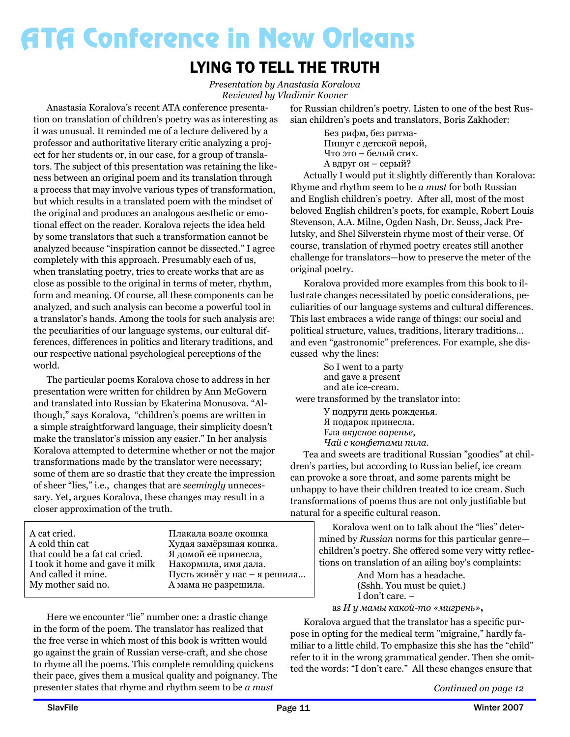### LYING TO TELL THE TRUTH

*Presentation by Anastasia Koralova Reviewed by Vladimir Kovner*

Anastasia Koralova's recent ATA conference presentation on translation of children's poetry was as interesting as it was unusual. It reminded me of a lecture delivered by a professor and authoritative literary critic analyzing a project for her students or, in our case, for a group of translators. The subject of this presentation was retaining the likeness between an original poem and its translation through a process that may involve various types of transformation, but which results in a translated poem with the mindset of the original and produces an analogous aesthetic or emotional effect on the reader. Koralova rejects the idea held by some translators that such a transformation cannot be analyzed because "inspiration cannot be dissected." I agree completely with this approach. Presumably each of us, when translating poetry, tries to create works that are as close as possible to the original in terms of meter, rhythm, form and meaning. Of course, all these components can be analyzed, and such analysis can become a powerful tool in a translator's hands. Among the tools for such analysis are: the peculiarities of our language systems, our cultural differences, differences in politics and literary traditions, and our respective national psychological perceptions of the world.

The particular poems Koralova chose to address in her presentation were written for children by Ann McGovern and translated into Russian by Ekaterina Monusova. "Although," says Koralova, "children's poems are written in a simple straightforward language, their simplicity doesn't make the translator's mission any easier." In her analysis Koralova attempted to determine whether or not the major transformations made by the translator were necessary; some of them are so drastic that they create the impression of sheer "lies," i.e., changes that are *seemingly* unnecessary. Yet, argues Koralova, these changes may result in a closer approximation of the truth.

A cat cried. A cold thin cat that could be a fat cat cried. I took it home and gave it milk And called it mine. My mother said no.

Плакала возле окошка Худая замёрзшая кошка. Я домой её принесла, Накормила, имя дала. Пусть живёт у нас – я решила... А мама не разрешила.

Here we encounter "lie" number one: a drastic change in the form of the poem. The translator has realized that the free verse in which most of this book is written would go against the grain of Russian verse-craft, and she chose to rhyme all the poems. This complete remolding quickens their pace, gives them a musical quality and poignancy. The presenter states that rhyme and rhythm seem to be *a must*

for Russian children's poetry. Listen to one of the best Russian children's poets and translators, Boris Zakhoder:

> Без рифм, без ритма-Пишут с детской верой, Что это – белый стих. A вдруг он – серый?

Actually I would put it slightly differently than Koralova: Rhyme and rhythm seem to be *a must* for both Russian and English children's poetry. After all, most of the most beloved English children's poets, for example, Robert Louis Stevenson, A.A. Milne, Ogden Nash, Dr. Seuss, Jack Prelutsky, and Shel Silverstein rhyme most of their verse. Of course, translation of rhymed poetry creates still another challenge for translators—how to preserve the meter of the original poetry.

Koralova provided more examples from this book to illustrate changes necessitated by poetic considerations, peculiarities of our language systems and cultural differences. This last embraces a wide range of things: our social and political structure, values, traditions, literary traditions… and even "gastronomic" preferences. For example, she discussed why the lines:

 So I went to a party and gave a present and ate ice-cream. were transformed by the translator into:

У подруги день рожденья. Я подарок принесла. Ела *вкусное варенье*, *Чай с конфетами пила*.

Tea and sweets are traditional Russian "goodies" at children's parties, but according to Russian belief, ice cream can provoke a sore throat, and some parents might be unhappy to have their children treated to ice cream. Such transformations of poems thus are not only justifiable but natural for a specific cultural reason.

> Koralova went on to talk about the "lies" determined by *Russian* norms for this particular genre children's poetry. She offered some very witty reflections on translation of an ailing boy's complaints:

 And Mom has a headache. (Sshh. You must be quiet.) I don't care. –

as *И у мамы какой-то «мигрень»***,**

Koralova argued that the translator has a specific purpose in opting for the medical term "migraine," hardly familiar to a little child. To emphasize this she has the "child" refer to it in the wrong grammatical gender. Then she omitted the words: "I don't care." All these changes ensure that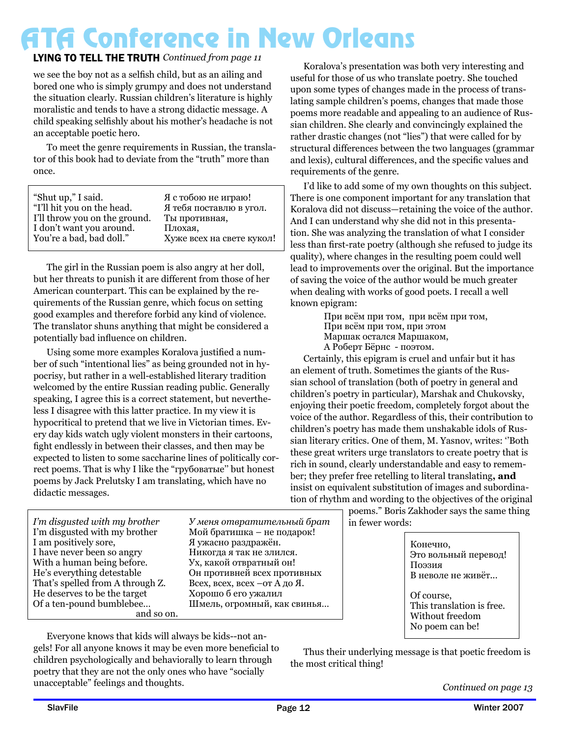### LYING TO TELL THE TRUTH Continued from page 11

we see the boy not as a selfish child, but as an ailing and bored one who is simply grumpy and does not understand the situation clearly. Russian children's literature is highly moralistic and tends to have a strong didactic message. A child speaking selfishly about his mother's headache is not an acceptable poetic hero.

To meet the genre requirements in Russian, the translator of this book had to deviate from the "truth" more than once.

The girl in the Russian poem is also angry at her doll, but her threats to punish it are different from those of her American counterpart. This can be explained by the requirements of the Russian genre, which focus on setting good examples and therefore forbid any kind of violence. The translator shuns anything that might be considered a potentially bad influence on children.

Using some more examples Koralova justified a number of such "intentional lies" as being grounded not in hypocrisy, but rather in a well-established literary tradition welcomed by the entire Russian reading public. Generally speaking, I agree this is a correct statement, but nevertheless I disagree with this latter practice. In my view it is hypocritical to pretend that we live in Victorian times. Every day kids watch ugly violent monsters in their cartoons, fight endlessly in between their classes, and then may be expected to listen to some saccharine lines of politically correct poems. That is why I like the "грубоватые'' but honest poems by Jack Prelutsky I am translating, which have no didactic messages.

Koralova's presentation was both very interesting and useful for those of us who translate poetry. She touched upon some types of changes made in the process of translating sample children's poems, changes that made those poems more readable and appealing to an audience of Russian children. She clearly and convincingly explained the rather drastic changes (not "lies") that were called for by structural differences between the two languages (grammar and lexis), cultural differences, and the specific values and requirements of the genre.

I'd like to add some of my own thoughts on this subject. There is one component important for any translation that Koralova did not discuss—retaining the voice of the author. And I can understand why she did not in this presentation. She was analyzing the translation of what I consider less than first-rate poetry (although she refused to judge its quality), where changes in the resulting poem could well lead to improvements over the original. But the importance of saving the voice of the author would be much greater when dealing with works of good poets. I recall a well known epigram:

> При всём при том, при всём при том, При всём при том, при этом Маршак остался Маршаком, А Роберт Бёрнс - поэтом.

Certainly, this epigram is cruel and unfair but it has an element of truth. Sometimes the giants of the Russian school of translation (both of poetry in general and children's poetry in particular), Marshak and Chukovsky, enjoying their poetic freedom, completely forgot about the voice of the author. Regardless of this, their contribution to children's poetry has made them unshakable idols of Russian literary critics. One of them, M. Yasnov, writes: ''Both these great writers urge translators to create poetry that is rich in sound, clearly understandable and easy to remember; they prefer free retelling to literal translating**, and** insist on equivalent substitution of images and subordination of rhythm and wording to the objectives of the original

poems." Boris Zakhoder says the same thing in fewer words:

| Конечно,                  |
|---------------------------|
| Это вольный перевод!      |
| Поэзия                    |
| В неволе не живёт         |
|                           |
| Of course,                |
| This translation is free. |
| Without freedom           |
| No poem can be!           |
|                           |

*I'm disgusted with my brother*  I'm disgusted with my brother I am positively sore, I have never been so angry With a human being before. He's everything detestable That's spelled from A through Z. He deserves to be the target Of a ten-pound bumblebee… and so on.  $Y$  меня отвратительный брат Мой братишка – не подарок! Я ужасно раздражён. Никогда я так не злился. Ух, какой отвратный он! Он противней всех противных Всех, всех, всех – от Адо Я. Хорошо б его ужалил Шмель, огромный, как свинья...

Everyone knows that kids will always be kids--not angels! For all anyone knows it may be even more beneficial to children psychologically and behaviorally to learn through poetry that they are not the only ones who have "socially unacceptable" feelings and thoughts.

Thus their underlying message is that poetic freedom is the most critical thing!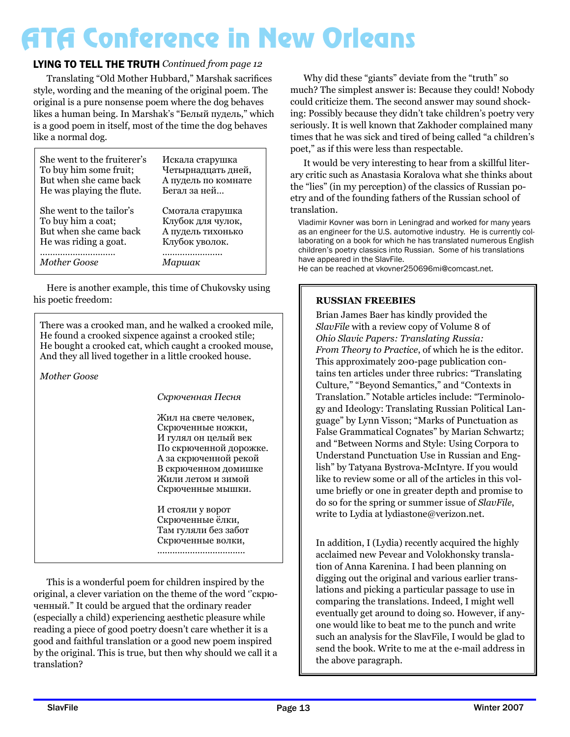### LYING TO TELL THE TRUTH *Continued from page 12*

Translating "Old Mother Hubbard," Marshak sacrifices style, wording and the meaning of the original poem. The original is a pure nonsense poem where the dog behaves likes a human being. In Marshak's "Белый пудель," which is a good poem in itself, most of the time the dog behaves like a normal dog.

| She went to the fruiterer's | Искала старушка     |
|-----------------------------|---------------------|
| To buy him some fruit;      | Четырнадцать дней,  |
| But when she came back      | А пудель по комнате |
| He was playing the flute.   | Бегал за ней        |
| She went to the tailor's    | Смотала старушка    |
| To buy him a coat;          | Клубок для чулок,   |
| But when she came back      | А пудель тихонько   |
| He was riding a goat.       | Клубок уволок.      |
|                             |                     |
| <b>Mother Goose</b>         | Маршак              |

Here is another example, this time of Chukovsky using his poetic freedom:

There was a crooked man, and he walked a crooked mile, He found a crooked sixpence against a crooked stile; He bought a crooked cat, which caught a crooked mouse, And they all lived together in a little crooked house.

*Mother Goose* 

#### Скрюченная Песня

Жил на свете человек. Скрюченные ножки, И гулял он целый век По скрюченной дорожке. А за скрюченной рекой В скрюченном домишке Жили летом и зимой Скрюченные мышки.

И стояли у ворот Скрюченные ёлки, Там гуляли без забот Скрюченные волки, ...................................

This is a wonderful poem for children inspired by the original, a clever variation on the theme of the word ''скрюченный." It could be argued that the ordinary reader (especially a child) experiencing aesthetic pleasure while reading a piece of good poetry doesn't care whether it is a good and faithful translation or a good new poem inspired by the original. This is true, but then why should we call it a translation?

Why did these "giants" deviate from the "truth" so much? The simplest answer is: Because they could! Nobody could criticize them. The second answer may sound shocking: Possibly because they didn't take children's poetry very seriously. It is well known that Zakhoder complained many times that he was sick and tired of being called "a children's poet," as if this were less than respectable.

It would be very interesting to hear from a skillful literary critic such as Anastasia Koralova what she thinks about the "lies" (in my perception) of the classics of Russian poetry and of the founding fathers of the Russian school of translation.

Vladimir Kovner was born in Leningrad and worked for many years as an engineer for the U.S. automotive industry. He is currently collaborating on a book for which he has translated numerous English children's poetry classics into Russian. Some of his translations have appeared in the SlavFile.

He can be reached at vkovner250696mi@comcast.net.

### **RUSSIAN FREEBIES**

Brian James Baer has kindly provided the *SlavFile* with a review copy of Volume 8 of *Ohio Slavic Papers: Translating Russia: From Theory to Practice*, of which he is the editor. This approximately 200-page publication contains ten articles under three rubrics: "Translating Culture," "Beyond Semantics," and "Contexts in Translation." Notable articles include: "Terminology and Ideology: Translating Russian Political Language" by Lynn Visson; "Marks of Punctuation as False Grammatical Cognates" by Marian Schwartz; and "Between Norms and Style: Using Corpora to Understand Punctuation Use in Russian and English" by Tatyana Bystrova-McIntyre. If you would like to review some or all of the articles in this volume briefly or one in greater depth and promise to do so for the spring or summer issue of *SlavFile*, write to Lydia at lydiastone@verizon.net.

In addition, I (Lydia) recently acquired the highly acclaimed new Pevear and Volokhonsky translation of Anna Karenina. I had been planning on digging out the original and various earlier translations and picking a particular passage to use in comparing the translations. Indeed, I might well eventually get around to doing so. However, if anyone would like to beat me to the punch and write such an analysis for the SlavFile, I would be glad to send the book. Write to me at the e-mail address in the above paragraph.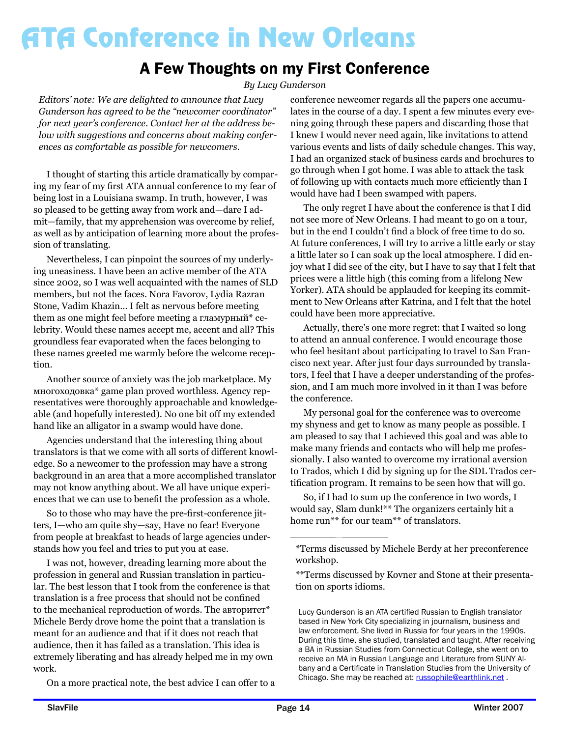### A Few Thoughts on my First Conference

*By Lucy Gunderson*

*Editors' note: We are delighted to announce that Lucy Gunderson has agreed to be the "newcomer coordinator" for next year's conference. Contact her at the address below with suggestions and concerns about making conferences as comfortable as possible for newcomers.* 

I thought of starting this article dramatically by comparing my fear of my first ATA annual conference to my fear of being lost in a Louisiana swamp. In truth, however, I was so pleased to be getting away from work and—dare I admit—family, that my apprehension was overcome by relief, as well as by anticipation of learning more about the profession of translating.

Nevertheless, I can pinpoint the sources of my underlying uneasiness. I have been an active member of the ATA since 2002, so I was well acquainted with the names of SLD members, but not the faces. Nora Favorov, Lydia Razran Stone, Vadim Khazin… I felt as nervous before meeting them as one might feel before meeting a гламурный\* celebrity. Would these names accept me, accent and all? This groundless fear evaporated when the faces belonging to these names greeted me warmly before the welcome reception.

Another source of anxiety was the job marketplace. My многоходовка\* game plan proved worthless. Agency representatives were thoroughly approachable and knowledgeable (and hopefully interested). No one bit off my extended hand like an alligator in a swamp would have done.

Agencies understand that the interesting thing about translators is that we come with all sorts of different knowledge. So a newcomer to the profession may have a strong background in an area that a more accomplished translator may not know anything about. We all have unique experiences that we can use to benefit the profession as a whole.

So to those who may have the pre-first-conference jitters, I—who am quite shy—say, Have no fear! Everyone from people at breakfast to heads of large agencies understands how you feel and tries to put you at ease.

I was not, however, dreading learning more about the profession in general and Russian translation in particular. The best lesson that I took from the conference is that translation is a free process that should not be confined to the mechanical reproduction of words. The авторитет\* Michele Berdy drove home the point that a translation is meant for an audience and that if it does not reach that audience, then it has failed as a translation. This idea is extremely liberating and has already helped me in my own work.

On a more practical note, the best advice I can offer to a

conference newcomer regards all the papers one accumulates in the course of a day. I spent a few minutes every evening going through these papers and discarding those that I knew I would never need again, like invitations to attend various events and lists of daily schedule changes. This way, I had an organized stack of business cards and brochures to go through when I got home. I was able to attack the task of following up with contacts much more efficiently than I would have had I been swamped with papers.

The only regret I have about the conference is that I did not see more of New Orleans. I had meant to go on a tour, but in the end I couldn't find a block of free time to do so. At future conferences, I will try to arrive a little early or stay a little later so I can soak up the local atmosphere. I did enjoy what I did see of the city, but I have to say that I felt that prices were a little high (this coming from a lifelong New Yorker). ATA should be applauded for keeping its commitment to New Orleans after Katrina, and I felt that the hotel could have been more appreciative.

Actually, there's one more regret: that I waited so long to attend an annual conference. I would encourage those who feel hesitant about participating to travel to San Francisco next year. After just four days surrounded by translators, I feel that I have a deeper understanding of the profession, and I am much more involved in it than I was before the conference.

My personal goal for the conference was to overcome my shyness and get to know as many people as possible. I am pleased to say that I achieved this goal and was able to make many friends and contacts who will help me professionally. I also wanted to overcome my irrational aversion to Trados, which I did by signing up for the SDL Trados certification program. It remains to be seen how that will go.

So, if I had to sum up the conference in two words, I would say, Slam dunk!\*\* The organizers certainly hit a home run<sup>\*\*</sup> for our team<sup>\*\*</sup> of translators.

<sup>\*</sup>Terms discussed by Michele Berdy at her preconference workshop.

<sup>\*\*</sup>Terms discussed by Kovner and Stone at their presentation on sports idioms.

Lucy Gunderson is an ATA certified Russian to English translator based in New York City specializing in journalism, business and law enforcement. She lived in Russia for four years in the 1990s. During this time, she studied, translated and taught. After receiving a BA in Russian Studies from Connecticut College, she went on to receive an MA in Russian Language and Literature from SUNY Albany and a Certificate in Translation Studies from the University of Chicago. She may be reached at: russophile@earthlink.net.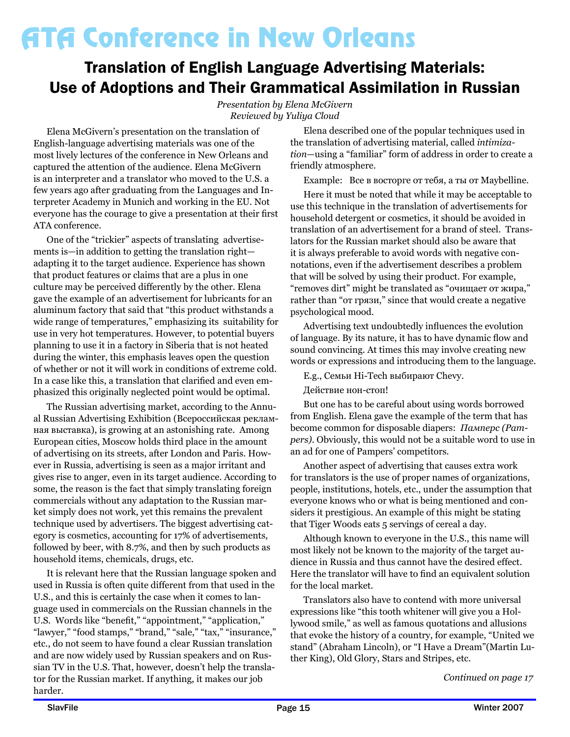### Translation of English Language Advertising Materials: Use of Adoptions and Their Grammatical Assimilation in Russian

*Presentation by Elena McGivern Reviewed by Yuliya Cloud*

Elena McGivern's presentation on the translation of English-language advertising materials was one of the most lively lectures of the conference in New Orleans and captured the attention of the audience. Elena McGivern is an interpreter and a translator who moved to the U.S. a few years ago after graduating from the Languages and Interpreter Academy in Munich and working in the EU. Not everyone has the courage to give a presentation at their first ATA conference.

One of the "trickier" aspects of translating advertisements is—in addition to getting the translation right adapting it to the target audience. Experience has shown that product features or claims that are a plus in one culture may be perceived differently by the other. Elena gave the example of an advertisement for lubricants for an aluminum factory that said that "this product withstands a wide range of temperatures," emphasizing its suitability for use in very hot temperatures. However, to potential buyers planning to use it in a factory in Siberia that is not heated during the winter, this emphasis leaves open the question of whether or not it will work in conditions of extreme cold. In a case like this, a translation that clarified and even emphasized this originally neglected point would be optimal.

The Russian advertising market, according to the Annual Russian Advertising Exhibition (Всероссийская рекламная выставка), is growing at an astonishing rate. Among European cities, Moscow holds third place in the amount of advertising on its streets, after London and Paris. However in Russia, advertising is seen as a major irritant and gives rise to anger, even in its target audience. According to some, the reason is the fact that simply translating foreign commercials without any adaptation to the Russian market simply does not work, yet this remains the prevalent technique used by advertisers. The biggest advertising category is cosmetics, accounting for 17% of advertisements, followed by beer, with 8.7%, and then by such products as household items, chemicals, drugs, etc.

It is relevant here that the Russian language spoken and used in Russia is often quite different from that used in the U.S., and this is certainly the case when it comes to language used in commercials on the Russian channels in the U.S. Words like "benefit," "appointment," "application," "lawyer," "food stamps," "brand," "sale," "tax," "insurance," etc., do not seem to have found a clear Russian translation and are now widely used by Russian speakers and on Russian TV in the U.S. That, however, doesn't help the translator for the Russian market. If anything, it makes our job harder.

Elena described one of the popular techniques used in the translation of advertising material, called *intimization*—using a "familiar" form of address in order to create a friendly atmosphere.

Example: Все в восторге от тебя, а ты от Maybelline.

Here it must be noted that while it may be acceptable to use this technique in the translation of advertisements for household detergent or cosmetics, it should be avoided in translation of an advertisement for a brand of steel. Translators for the Russian market should also be aware that it is always preferable to avoid words with negative connotations, even if the advertisement describes a problem that will be solved by using their product. For example, "removes dirt" might be translated as "очищает от жира," rather than "от грязи," since that would create a negative psychological mood.

Advertising text undoubtedly influences the evolution of language. By its nature, it has to have dynamic flow and sound convincing. At times this may involve creating new words or expressions and introducing them to the language.

E.g., Семьи Hi-Tech выбирают Chevy.

Действие нон-стоп!

But one has to be careful about using words borrowed from English. Elena gave the example of the term that has become common for disposable diapers: *Памперс (Pampers)*. Obviously, this would not be a suitable word to use in an ad for one of Pampers' competitors.

Another aspect of advertising that causes extra work for translators is the use of proper names of organizations, people, institutions, hotels, etc., under the assumption that everyone knows who or what is being mentioned and considers it prestigious. An example of this might be stating that Tiger Woods eats 5 servings of cereal a day.

Although known to everyone in the U.S., this name will most likely not be known to the majority of the target audience in Russia and thus cannot have the desired effect. Here the translator will have to find an equivalent solution for the local market.

Translators also have to contend with more universal expressions like "this tooth whitener will give you a Hollywood smile," as well as famous quotations and allusions that evoke the history of a country, for example, "United we stand" (Abraham Lincoln), or "I Have a Dream"(Martin Luther King), Old Glory, Stars and Stripes, etc.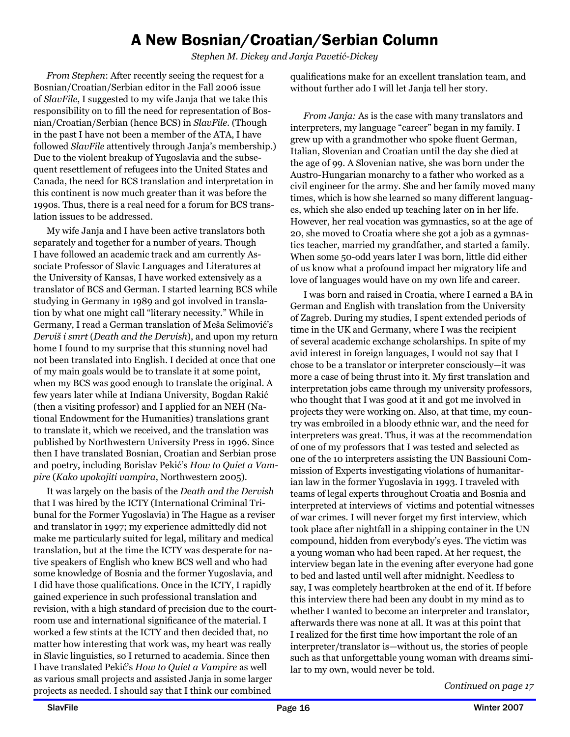### A New Bosnian/Croatian/Serbian Column

*Stephen M. Dickey and Janja Pavetić-Dickey*

*From Stephen*: After recently seeing the request for a Bosnian/Croatian/Serbian editor in the Fall 2006 issue of *SlavFile*, I suggested to my wife Janja that we take this responsibility on to fill the need for representation of Bosnian/Croatian/Serbian (hence BCS) in *SlavFile*. (Though in the past I have not been a member of the ATA, I have followed *SlavFile* attentively through Janja's membership.) Due to the violent breakup of Yugoslavia and the subsequent resettlement of refugees into the United States and Canada, the need for BCS translation and interpretation in this continent is now much greater than it was before the 1990s. Thus, there is a real need for a forum for BCS translation issues to be addressed.

My wife Janja and I have been active translators both separately and together for a number of years. Though I have followed an academic track and am currently Associate Professor of Slavic Languages and Literatures at the University of Kansas, I have worked extensively as a translator of BCS and German. I started learning BCS while studying in Germany in 1989 and got involved in translation by what one might call "literary necessity." While in Germany, I read a German translation of Meša Selimović's *Derviš i smrt* (*Death and the Dervish*), and upon my return home I found to my surprise that this stunning novel had not been translated into English. I decided at once that one of my main goals would be to translate it at some point, when my BCS was good enough to translate the original. A few years later while at Indiana University, Bogdan Rakić (then a visiting professor) and I applied for an NEH (National Endowment for the Humanities) translations grant to translate it, which we received, and the translation was published by Northwestern University Press in 1996. Since then I have translated Bosnian, Croatian and Serbian prose and poetry, including Borislav Pekić's *How to Quiet a Vampire* (*Kako upokojiti vampira*, Northwestern 2005).

It was largely on the basis of the *Death and the Dervish* that I was hired by the ICTY (International Criminal Tribunal for the Former Yugoslavia) in The Hague as a reviser and translator in 1997; my experience admittedly did not make me particularly suited for legal, military and medical translation, but at the time the ICTY was desperate for native speakers of English who knew BCS well and who had some knowledge of Bosnia and the former Yugoslavia, and I did have those qualifications. Once in the ICTY, I rapidly gained experience in such professional translation and revision, with a high standard of precision due to the courtroom use and international significance of the material. I worked a few stints at the ICTY and then decided that, no matter how interesting that work was, my heart was really in Slavic linguistics, so I returned to academia. Since then I have translated Pekić's *How to Quiet a Vampire* as well as various small projects and assisted Janja in some larger projects as needed. I should say that I think our combined

qualifications make for an excellent translation team, and without further ado I will let Janja tell her story.

*From Janja:* As is the case with many translators and interpreters, my language "career" began in my family. I grew up with a grandmother who spoke fluent German, Italian, Slovenian and Croatian until the day she died at the age of 99. A Slovenian native, she was born under the Austro-Hungarian monarchy to a father who worked as a civil engineer for the army. She and her family moved many times, which is how she learned so many different languages, which she also ended up teaching later on in her life. However, her real vocation was gymnastics, so at the age of 20, she moved to Croatia where she got a job as a gymnastics teacher, married my grandfather, and started a family. When some 50-odd years later I was born, little did either of us know what a profound impact her migratory life and love of languages would have on my own life and career.

I was born and raised in Croatia, where I earned a BA in German and English with translation from the University of Zagreb. During my studies, I spent extended periods of time in the UK and Germany, where I was the recipient of several academic exchange scholarships. In spite of my avid interest in foreign languages, I would not say that I chose to be a translator or interpreter consciously—it was more a case of being thrust into it. My first translation and interpretation jobs came through my university professors, who thought that I was good at it and got me involved in projects they were working on. Also, at that time, my country was embroiled in a bloody ethnic war, and the need for interpreters was great. Thus, it was at the recommendation of one of my professors that I was tested and selected as one of the 10 interpreters assisting the UN Bassiouni Commission of Experts investigating violations of humanitarian law in the former Yugoslavia in 1993. I traveled with teams of legal experts throughout Croatia and Bosnia and interpreted at interviews of victims and potential witnesses of war crimes. I will never forget my first interview, which took place after nightfall in a shipping container in the UN compound, hidden from everybody's eyes. The victim was a young woman who had been raped. At her request, the interview began late in the evening after everyone had gone to bed and lasted until well after midnight. Needless to say, I was completely heartbroken at the end of it. If before this interview there had been any doubt in my mind as to whether I wanted to become an interpreter and translator, afterwards there was none at all. It was at this point that I realized for the first time how important the role of an interpreter/translator is—without us, the stories of people such as that unforgettable young woman with dreams similar to my own, would never be told.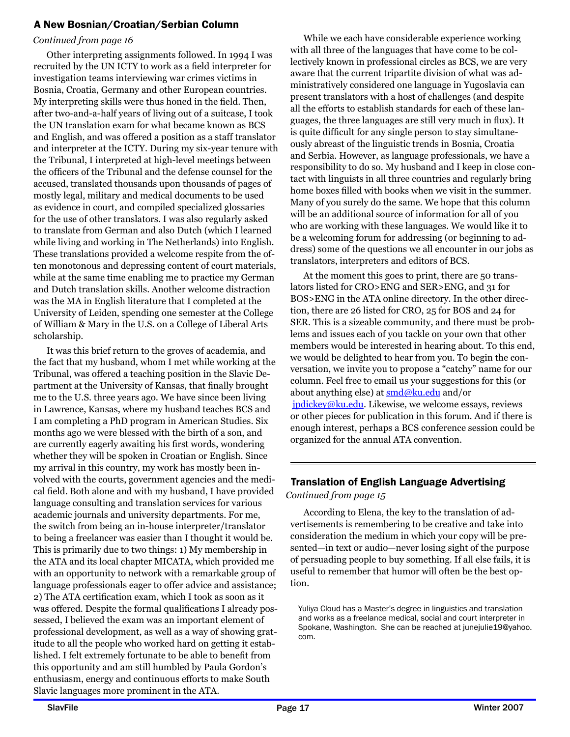### A New Bosnian/Croatian/Serbian Column

#### *Continued from page 16*

Other interpreting assignments followed. In 1994 I was recruited by the UN ICTY to work as a field interpreter for investigation teams interviewing war crimes victims in Bosnia, Croatia, Germany and other European countries. My interpreting skills were thus honed in the field. Then, after two-and-a-half years of living out of a suitcase, I took the UN translation exam for what became known as BCS and English, and was offered a position as a staff translator and interpreter at the ICTY. During my six-year tenure with the Tribunal, I interpreted at high-level meetings between the officers of the Tribunal and the defense counsel for the accused, translated thousands upon thousands of pages of mostly legal, military and medical documents to be used as evidence in court, and compiled specialized glossaries for the use of other translators. I was also regularly asked to translate from German and also Dutch (which I learned while living and working in The Netherlands) into English. These translations provided a welcome respite from the often monotonous and depressing content of court materials, while at the same time enabling me to practice my German and Dutch translation skills. Another welcome distraction was the MA in English literature that I completed at the University of Leiden, spending one semester at the College of William & Mary in the U.S. on a College of Liberal Arts scholarship.

It was this brief return to the groves of academia, and the fact that my husband, whom I met while working at the Tribunal, was offered a teaching position in the Slavic Department at the University of Kansas, that finally brought me to the U.S. three years ago. We have since been living in Lawrence, Kansas, where my husband teaches BCS and I am completing a PhD program in American Studies. Six months ago we were blessed with the birth of a son, and are currently eagerly awaiting his first words, wondering whether they will be spoken in Croatian or English. Since my arrival in this country, my work has mostly been involved with the courts, government agencies and the medical field. Both alone and with my husband, I have provided language consulting and translation services for various academic journals and university departments. For me, the switch from being an in-house interpreter/translator to being a freelancer was easier than I thought it would be. This is primarily due to two things: 1) My membership in the ATA and its local chapter MICATA, which provided me with an opportunity to network with a remarkable group of language professionals eager to offer advice and assistance; 2) The ATA certification exam, which I took as soon as it was offered. Despite the formal qualifications I already possessed, I believed the exam was an important element of professional development, as well as a way of showing gratitude to all the people who worked hard on getting it established. I felt extremely fortunate to be able to benefit from this opportunity and am still humbled by Paula Gordon's enthusiasm, energy and continuous efforts to make South Slavic languages more prominent in the ATA.

While we each have considerable experience working with all three of the languages that have come to be collectively known in professional circles as BCS, we are very aware that the current tripartite division of what was administratively considered one language in Yugoslavia can present translators with a host of challenges (and despite all the efforts to establish standards for each of these languages, the three languages are still very much in flux). It is quite difficult for any single person to stay simultaneously abreast of the linguistic trends in Bosnia, Croatia and Serbia. However, as language professionals, we have a responsibility to do so. My husband and I keep in close contact with linguists in all three countries and regularly bring home boxes filled with books when we visit in the summer. Many of you surely do the same. We hope that this column will be an additional source of information for all of you who are working with these languages. We would like it to be a welcoming forum for addressing (or beginning to address) some of the questions we all encounter in our jobs as translators, interpreters and editors of BCS.

At the moment this goes to print, there are 50 translators listed for CRO>ENG and SER>ENG, and 31 for BOS>ENG in the ATA online directory. In the other direction, there are 26 listed for CRO, 25 for BOS and 24 for SER. This is a sizeable community, and there must be problems and issues each of you tackle on your own that other members would be interested in hearing about. To this end, we would be delighted to hear from you. To begin the conversation, we invite you to propose a "catchy" name for our column. Feel free to email us your suggestions for this (or about anything else) at  $\text{smd}\omega$ ku.edu and/or jpdickey@ku.edu. Likewise, we welcome essays, reviews or other pieces for publication in this forum. And if there is enough interest, perhaps a BCS conference session could be organized for the annual ATA convention.

### *Continued from page 15* Translation of English Language Advertising

According to Elena, the key to the translation of advertisements is remembering to be creative and take into consideration the medium in which your copy will be presented—in text or audio—never losing sight of the purpose of persuading people to buy something. If all else fails, it is useful to remember that humor will often be the best option.

Yuliya Cloud has a Master's degree in linguistics and translation and works as a freelance medical, social and court interpreter in Spokane, Washington. She can be reached at junejulie19@yahoo. com.